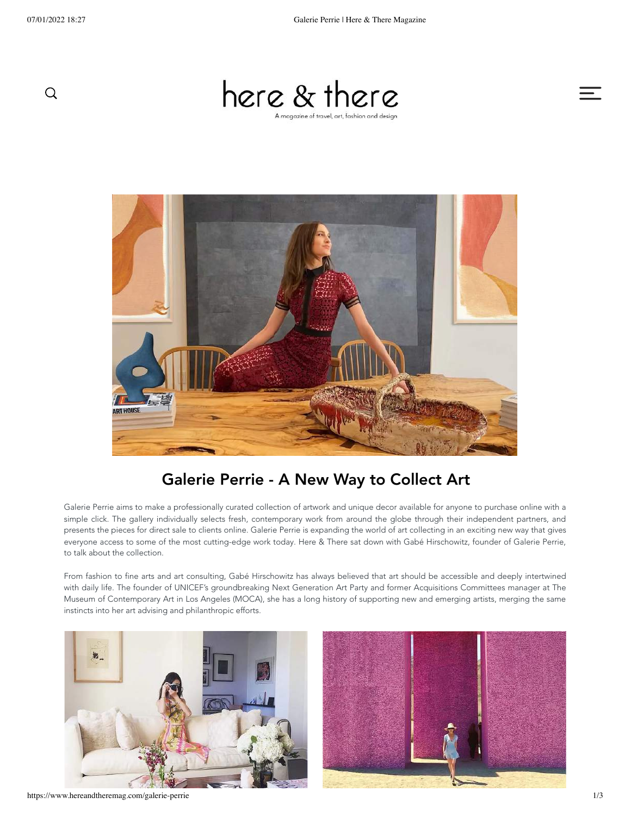



# Galerie Perrie - A New Way to Collect Art

Galerie Perrie aims to make a professionally curated collection of artwork and unique decor available for anyone to purchase online with a simple click. The gallery individually selects fresh, contemporary work from around the globe through their independent partners, and presents the pieces for direct sale to clients online. Galerie Perrie is expanding the world of art collecting in an exciting new way that gives everyone access to some of the most cutting-edge work today. Here & There sat down with Gabé Hirschowitz, founder of Galerie Perrie, to talk about the collection.

From fashion to fine arts and art consulting, Gabé Hirschowitz has always believed that art should be accessible and deeply intertwined with daily life. The founder of UNICEF's groundbreaking Next Generation Art Party and former Acquisitions Committees manager at The Museum of Contemporary Art in Los Angeles (MOCA), she has a long history of supporting new and emerging artists, merging the same instincts into her art advising and philanthropic efforts.





https://www.hereandtheremag.com/galerie-perrie 1/3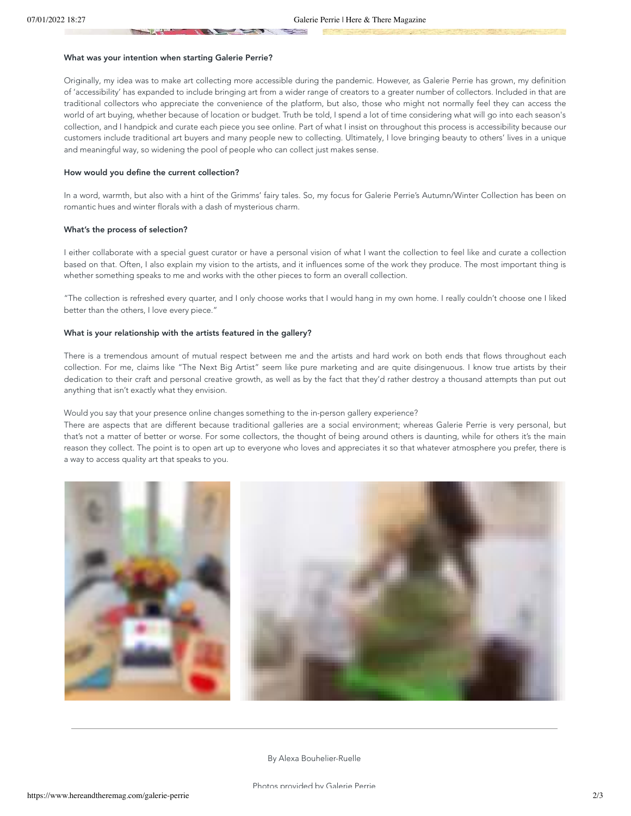#### What was your intention when starting Galerie Perrie?

Originally, my idea was to make art collecting more accessible during the pandemic. However, as Galerie Perrie has grown, my definition of 'accessibility' has expanded to include bringing art from a wider range of creators to a greater number of collectors. Included in that are traditional collectors who appreciate the convenience of the platform, but also, those who might not normally feel they can access the world of art buying, whether because of location or budget. Truth be told, I spend a lot of time considering what will go into each season's collection, and I handpick and curate each piece you see online. Part of what I insist on throughout this process is accessibility because our customers include traditional art buyers and many people new to collecting. Ultimately, I love bringing beauty to others' lives in a unique and meaningful way, so widening the pool of people who can collect just makes sense.

#### How would you define the current collection?

In a word, warmth, but also with a hint of the Grimms' fairy tales. So, my focus for Galerie Perrie's Autumn/Winter Collection has been on romantic hues and winter florals with a dash of mysterious charm.

#### What's the process of selection?

I either collaborate with a special guest curator or have a personal vision of what I want the collection to feel like and curate a collection based on that. Often, I also explain my vision to the artists, and it influences some of the work they produce. The most important thing is whether something speaks to me and works with the other pieces to form an overall collection.

"The collection is refreshed every quarter, and I only choose works that I would hang in my own home. I really couldn't choose one I liked better than the others, I love every piece."

#### What is your relationship with the artists featured in the gallery?

There is a tremendous amount of mutual respect between me and the artists and hard work on both ends that flows throughout each collection. For me, claims like "The Next Big Artist" seem like pure marketing and are quite disingenuous. I know true artists by their dedication to their craft and personal creative growth, as well as by the fact that they'd rather destroy a thousand attempts than put out anything that isn't exactly what they envision.

#### Would you say that your presence online changes something to the in-person gallery experience?

There are aspects that are different because traditional galleries are a social environment; whereas Galerie Perrie is very personal, but that's not a matter of better or worse. For some collectors, the thought of being around others is daunting, while for others it's the main reason they collect. The point is to open art up to everyone who loves and appreciates it so that whatever atmosphere you prefer, there is a way to access quality art that speaks to you.



By Alexa Bouhelier-Ruelle